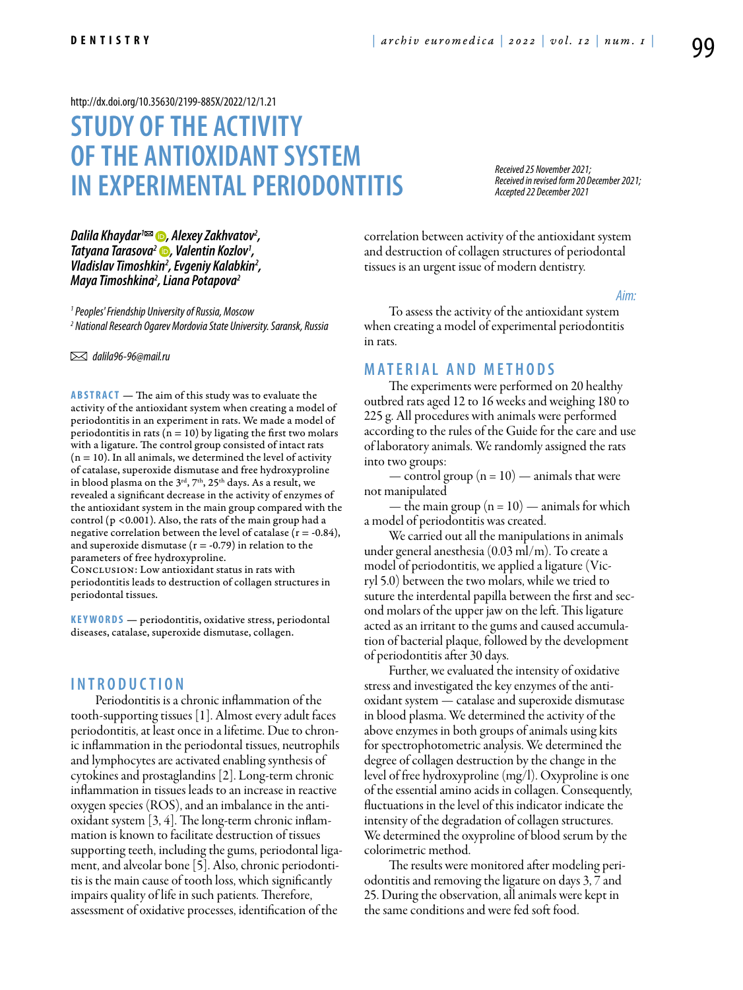#### <http://dx.doi.org/10.35630/2199-885X/2022/12/1.21>

# **Study of the activity of the antioxidant system in experimental periodontitis**

*Received 25 November 2021; Received in revised form 20 December 2021; Accepted 22 December 2021*

*[Dalila Khaydar](https://orcid.org/0000-0002-5490-1037)1 , Alexey Zakhvatov2 , [Tatyana Tarasova2](http://orcid.org/0000-0001-9745-9739) , Valentin Kozlov1 , Vladislav Timoshkin2 , Evgeniy Kalabkin2 , Maya Timoshkina2 , Liana Potapova2*

*1 Peoples' Friendship University of Russia, Moscow 2 National Research Ogarev Mordovia State University. Saransk, Russia* 

 *dalila96-96@mail.ru* 

**ABSTRACT** — The aim of this study was to evaluate the activity of the antioxidant system when creating a model of periodontitis in an experiment in rats. We made a model of periodontitis in rats ( $n = 10$ ) by ligating the first two molars with a ligature. The control group consisted of intact rats  $(n = 10)$ . In all animals, we determined the level of activity of catalase, superoxide dismutase and free hydroxyproline in blood plasma on the 3<sup>rd</sup>, 7<sup>th</sup>, 25<sup>th</sup> days. As a result, we revealed a significant decrease in the activity of enzymes of the antioxidant system in the main group compared with the control (p <0.001). Also, the rats of the main group had a negative correlation between the level of catalase  $(r = -0.84)$ , and superoxide dismutase ( $r = -0.79$ ) in relation to the parameters of free hydroxyproline.

Conclusion: Low antioxidant status in rats with periodontitis leads to destruction of collagen structures in periodontal tissues.

KEYWORDS — periodontitis, oxidative stress, periodontal diseases, catalase, superoxide dismutase, collagen.

#### **I n t r o d u ct i o n**

Periodontitis is a chronic inflammation of the tooth-supporting tissues [1]. Almost every adult faces periodontitis, at least once in a lifetime. Due to chronic inflammation in the periodontal tissues, neutrophils and lymphocytes are activated enabling synthesis of cytokines and prostaglandins [2]. Long-term chronic inflammation in tissues leads to an increase in reactive oxygen species (ROS), and an imbalance in the antioxidant system [3, 4]. The long-term chronic inflammation is known to facilitate destruction of tissues supporting teeth, including the gums, periodontal ligament, and alveolar bone [5]. Also, chronic periodontitis is the main cause of tooth loss, which significantly impairs quality of life in such patients. Therefore, assessment of oxidative processes, identification of the

correlation between activity of the antioxidant system and destruction of collagen structures of periodontal tissues is an urgent issue of modern dentistry.

*Aim:* 

To assess the activity of the antioxidant system when creating a model of experimental periodontitis in rats.

#### **MATERIAL AND METHODS**

The experiments were performed on 20 healthy outbred rats aged 12 to 16 weeks and weighing 180 to 225 g. All procedures with animals were performed according to the rules of the Guide for the care and use of laboratory animals. We randomly assigned the rats into two groups:

— control group  $(n = 10)$  — animals that were not manipulated

— the main group  $(n = 10)$  — animals for which a model of periodontitis was created.

We carried out all the manipulations in animals under general anesthesia (0.03 ml/m). To create a model of periodontitis, we applied a ligature (Vicryl 5.0) between the two molars, while we tried to suture the interdental papilla between the first and second molars of the upper jaw on the left. This ligature acted as an irritant to the gums and caused accumulation of bacterial plaque, followed by the development of periodontitis after 30 days.

Further, we evaluated the intensity of oxidative stress and investigated the key enzymes of the antioxidant system — catalase and superoxide dismutase in blood plasma. We determined the activity of the above enzymes in both groups of animals using kits for spectrophotometric analysis. We determined the degree of collagen destruction by the change in the level of free hydroxyproline (mg/l). Oxyproline is one of the essential amino acids in collagen. Consequently, fluctuations in the level of this indicator indicate the intensity of the degradation of collagen structures. We determined the oxyproline of blood serum by the colorimetric method.

The results were monitored after modeling periodontitis and removing the ligature on days 3, 7 and 25. During the observation, all animals were kept in the same conditions and were fed soft food.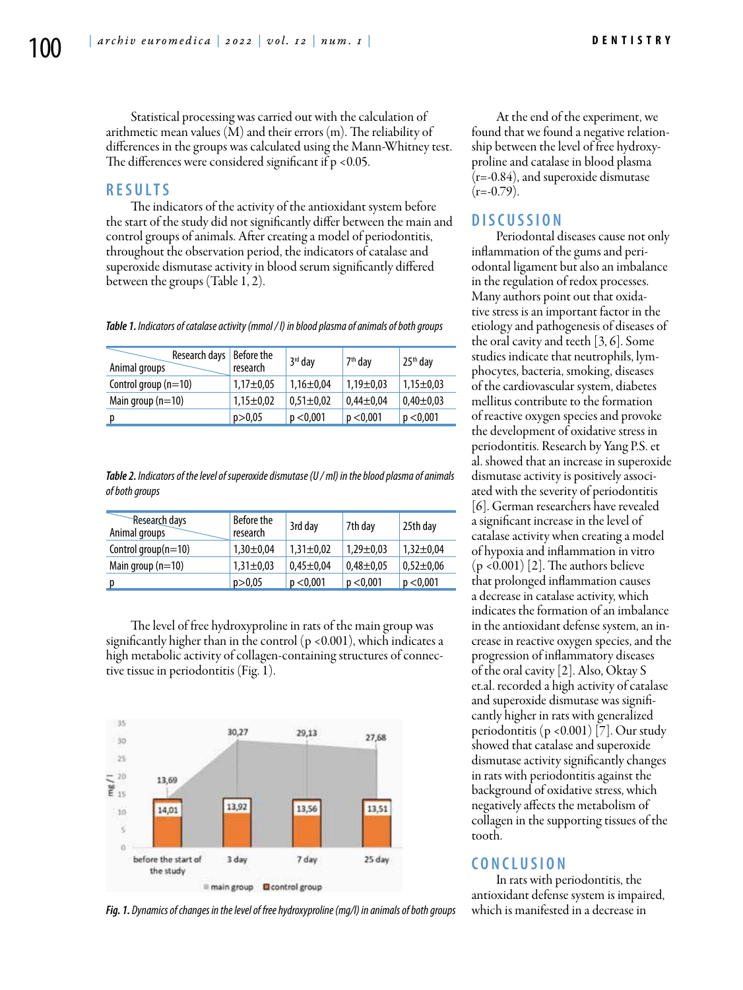Statistical processing was carried out with the calculation of arithmetic mean values (M) and their errors (m). The reliability of differences in the groups was calculated using the Mann-Whitney test. The differences were considered significant if  $p < 0.05$ .

#### **R e s u l t s**

The indicators of the activity of the antioxidant system before the start of the study did not significantly differ between the main and control groups of animals. After creating a model of periodontitis, throughout the observation period, the indicators of catalase and superoxide dismutase activity in blood serum significantly differed between the groups (Table 1, 2).

*Table 1. Indicators of catalase activity (mmol / l) in blood plasma of animals of both groups*

| Research days   Before the<br>Animal groups | research        | 3rd day         | 7 <sup>th</sup> day | 25 <sup>th</sup> day |
|---------------------------------------------|-----------------|-----------------|---------------------|----------------------|
| Control group (n=10)                        | $1,17 \pm 0.05$ | $1,16 \pm 0.04$ | $1,19 \pm 0.03$     | $1,15 \pm 0.03$      |
| Main group $(n=10)$                         | $1,15 \pm 0,02$ | $0,51 \pm 0,02$ | $0.44 \pm 0.04$     | $0,40\pm0.03$        |
|                                             | p > 0,05        | p < 0,001       | p < 0.001           | p < 0,001            |

*Table 2. Indicators of the level of superoxide dismutase (U / ml) in the blood plasma of animals of both groups*

| Research days<br>Animal groups | Before the<br>research | 3rd day         | 7th day         | 25th day        |
|--------------------------------|------------------------|-----------------|-----------------|-----------------|
| Control group(n=10)            | $1,30 \pm 0.04$        | $1,31\pm0.02$   | $1,29 \pm 0.03$ | $1,32 \pm 0.04$ |
| Main group $(n=10)$            | $1,31\pm0.03$          | $0.45 \pm 0.04$ | $0.48 + 0.05$   | $0.52 \pm 0.06$ |
|                                | p > 0,05               | p < 0,001       | p < 0,001       | p < 0,001       |

The level of free hydroxyproline in rats of the main group was significantly higher than in the control  $(p < 0.001)$ , which indicates a high metabolic activity of collagen-containing structures of connective tissue in periodontitis (Fig. 1).



*Fig. 1. Dynamics of changes in the level of free hydroxyproline (mg/l) in animals of both groups*

At the end of the experiment, we found that we found a negative relationship between the level of free hydroxyproline and catalase in blood plasma (r=-0.84), and superoxide dismutase  $(r=-0.79)$ .

#### **D i sc u s s i o n**

Periodontal diseases cause not only inflammation of the gums and periodontal ligament but also an imbalance in the regulation of redox processes. Many authors point out that oxidative stress is an important factor in the etiology and pathogenesis of diseases of the oral cavity and teeth [3, 6]. Some studies indicate that neutrophils, lymphocytes, bacteria, smoking, diseases of the cardiovascular system, diabetes mellitus contribute to the formation of reactive oxygen species and provoke the development of oxidative stress in periodontitis. Research by Yang P.S. et al. showed that an increase in superoxide dismutase activity is positively associated with the severity of periodontitis [6]. German researchers have revealed a significant increase in the level of catalase activity when creating a model of hypoxia and inflammation in vitro  $(p < 0.001)$  [2]. The authors believe that prolonged inflammation causes a decrease in catalase activity, which indicates the formation of an imbalance in the antioxidant defense system, an increase in reactive oxygen species, and the progression of inflammatory diseases of the oral cavity [2]. Also, Oktay S et.al. recorded a high activity of catalase and superoxide dismutase was significantly higher in rats with generalized periodontitis (p <0.001) [7]. Our study showed that catalase and superoxide dismutase activity significantly changes in rats with periodontitis against the background of oxidative stress, which negatively affects the metabolism of collagen in the supporting tissues of the tooth.

### **C o n cl u s i o n**

In rats with periodontitis, the antioxidant defense system is impaired, which is manifested in a decrease in